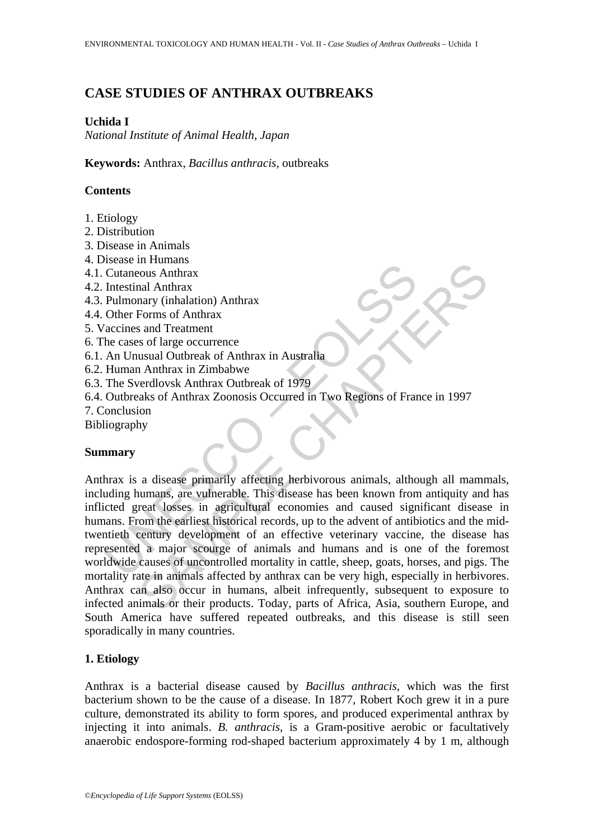# **CASE STUDIES OF ANTHRAX OUTBREAKS**

# **Uchida I**

*National Institute of Animal Health, Japan* 

**Keywords:** Anthrax, *Bacillus anthracis*, outbreaks

# **Contents**

- 1. Etiology
- 2. Distribution
- 3. Disease in Animals
- 4. Disease in Humans
- 4.1. Cutaneous Anthrax
- 4.2. Intestinal Anthrax
- 4.3. Pulmonary (inhalation) Anthrax
- 4.4. Other Forms of Anthrax
- 5. Vaccines and Treatment
- 6. The cases of large occurrence
- 6.1. An Unusual Outbreak of Anthrax in Australia
- 6.2. Human Anthrax in Zimbabwe
- 6.3. The Sverdlovsk Anthrax Outbreak of 1979
- 6.4. Outbreaks of Anthrax Zoonosis Occurred in Two Regions of France in 1997
- 7. Conclusion
- Bibliography

### **Summary**

Scass in Hamans<br>
Cutaneous Anthrax<br>
Intestinal Anthrax<br>
Intestinal Anthrax<br>
The care of Technomary (inhalation) Anthrax<br>
20 Octher Forms of Anthrax<br>
20 Geometrical<br>
Access of large occurrence<br>
An Unusual Outbreak of Anthra minimalism<br>
Sous Anthrax<br>
The Malation) Anthrax<br>
The Sous Anthrax<br>
and Treatment<br>
and Treatment<br>
and Treatment<br>
and Treatment<br>
and Treatment<br>
and Treatment<br>
So f large occurrence<br>
susual Outhers and Treatment<br>
and Treatmen Anthrax is a disease primarily affecting herbivorous animals, although all mammals, including humans, are vulnerable. This disease has been known from antiquity and has inflicted great losses in agricultural economies and caused significant disease in humans. From the earliest historical records, up to the advent of antibiotics and the midtwentieth century development of an effective veterinary vaccine, the disease has represented a major scourge of animals and humans and is one of the foremost worldwide causes of uncontrolled mortality in cattle, sheep, goats, horses, and pigs. The mortality rate in animals affected by anthrax can be very high, especially in herbivores. Anthrax can also occur in humans, albeit infrequently, subsequent to exposure to infected animals or their products. Today, parts of Africa, Asia, southern Europe, and South America have suffered repeated outbreaks, and this disease is still seen sporadically in many countries.

# **1. Etiology**

Anthrax is a bacterial disease caused by *Bacillus anthracis*, which was the first bacterium shown to be the cause of a disease. In 1877, Robert Koch grew it in a pure culture, demonstrated its ability to form spores, and produced experimental anthrax by injecting it into animals. *B. anthracis*, is a Gram-positive aerobic or facultatively anaerobic endospore-forming rod-shaped bacterium approximately 4 by 1 m, although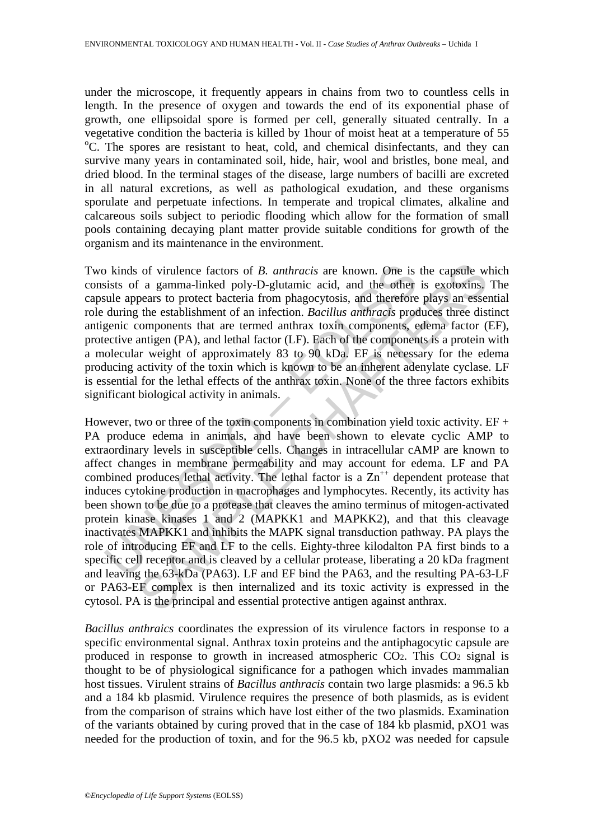under the microscope, it frequently appears in chains from two to countless cells in length. In the presence of oxygen and towards the end of its exponential phase of growth, one ellipsoidal spore is formed per cell, generally situated centrally. In a vegetative condition the bacteria is killed by 1 hour of moist heat at a temperature of 55 C. The spores are resistant to heat, cold, and chemical disinfectants, and they can survive many years in contaminated soil, hide, hair, wool and bristles, bone meal, and dried blood. In the terminal stages of the disease, large numbers of bacilli are excreted in all natural excretions, as well as pathological exudation, and these organisms sporulate and perpetuate infections. In temperate and tropical climates, alkaline and calcareous soils subject to periodic flooding which allow for the formation of small pools containing decaying plant matter provide suitable conditions for growth of the organism and its maintenance in the environment.

Two kinds of virulence factors of *B. anthracis* are known. One is the capsule which consists of a gamma-linked poly-D-glutamic acid, and the other is exotoxins. The capsule appears to protect bacteria from phagocytosis, and therefore plays an essential role during the establishment of an infection. *Bacillus anthracis* produces three distinct antigenic components that are termed anthrax toxin components, edema factor (EF), protective antigen (PA), and lethal factor (LF). Each of the components is a protein with a molecular weight of approximately 83 to 90 kDa. EF is necessary for the edema producing activity of the toxin which is known to be an inherent adenylate cyclase. LF is essential for the lethal effects of the anthrax toxin. None of the three factors exhibits significant biological activity in animals.

b kinds of virulence factors of *B. anthracis* are known. One is<br>sists of a gamma-linked poly-D-glutamic acid, and the other<br>sults are appears to protect bacteria from phagocytosis, and therefore<br>during the establishment of virulence factors of *B. anthracis* are known. One is the capsule w<sup>2</sup> a gamma-linked poly-D-glutamic acid, and the other is exotoxins, the establishment of an inferction. *Bacillus anthracis* produces three discompone However, two or three of the toxin components in combination yield toxic activity.  $EF +$ PA produce edema in animals, and have been shown to elevate cyclic AMP to extraordinary levels in susceptible cells. Changes in intracellular cAMP are known to affect changes in membrane permeability and may account for edema. LF and PA combined produces lethal activity. The lethal factor is a  $Zn^{++}$  dependent protease that induces cytokine production in macrophages and lymphocytes. Recently, its activity has been shown to be due to a protease that cleaves the amino terminus of mitogen-activated protein kinase kinases 1 and 2 (MAPKK1 and MAPKK2), and that this cleavage inactivates MAPKK1 and inhibits the MAPK signal transduction pathway. PA plays the role of introducing EF and LF to the cells. Eighty-three kilodalton PA first binds to a specific cell receptor and is cleaved by a cellular protease, liberating a 20 kDa fragment and leaving the 63-kDa (PA63). LF and EF bind the PA63, and the resulting PA-63-LF or PA63-EF complex is then internalized and its toxic activity is expressed in the cytosol. PA is the principal and essential protective antigen against anthrax.

*Bacillus anthraics* coordinates the expression of its virulence factors in response to a specific environmental signal. Anthrax toxin proteins and the antiphagocytic capsule are produced in response to growth in increased atmospheric CO2. This CO2 signal is thought to be of physiological significance for a pathogen which invades mammalian host tissues. Virulent strains of *Bacillus anthracis* contain two large plasmids: a 96.5 kb and a 184 kb plasmid. Virulence requires the presence of both plasmids, as is evident from the comparison of strains which have lost either of the two plasmids. Examination of the variants obtained by curing proved that in the case of 184 kb plasmid, pXO1 was needed for the production of toxin, and for the 96.5 kb, pXO2 was needed for capsule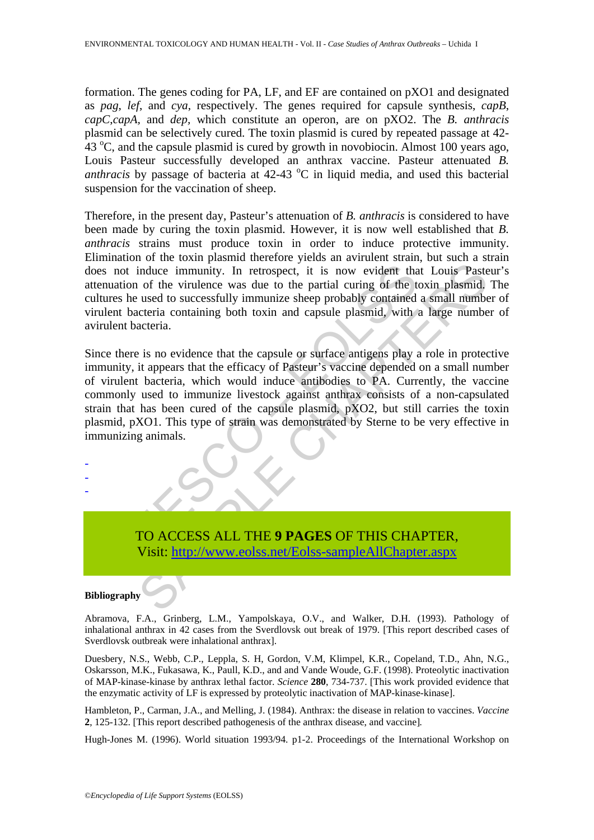formation. The genes coding for PA, LF, and EF are contained on pXO1 and designated as *pag*, *lef*, and *cya*, respectively. The genes required for capsule synthesis, *capB*, *capC*,*capA,* and *dep,* which constitute an operon, are on pXO2. The *B. anthracis* plasmid can be selectively cured. The toxin plasmid is cured by repeated passage at 42-  $43^{\circ}$ C, and the capsule plasmid is cured by growth in novobiocin. Almost 100 years ago, Louis Pasteur successfully developed an anthrax vaccine. Pasteur attenuated *B.*  anthracis by passage of bacteria at 42-43 °C in liquid media, and used this bacterial suspension for the vaccination of sheep.

Therefore, in the present day, Pasteur's attenuation of *B. anthracis* is considered to have been made by curing the toxin plasmid. However, it is now well established that *B. anthracis* strains must produce toxin in order to induce protective immunity. Elimination of the toxin plasmid therefore yields an avirulent strain, but such a strain does not induce immunity. In retrospect, it is now evident that Louis Pasteur's attenuation of the virulence was due to the partial curing of the toxin plasmid. The cultures he used to successfully immunize sheep probably contained a small number of virulent bacteria containing both toxin and capsule plasmid, with a large number of avirulent bacteria.

is not induce immunity. In retrospect, it is now evident the<br>nuation of the virulence was due to the partial curing of the tures he used to successfully immunize sheep probably contained<br>lent bacteria containing both toxin induce immunity. In retrospect, it is now evident that Louis Paste of the virulence was due to the partial curing of the toxin plasmid, used to successfully immunize sheep probably contained a small number of the virulence Since there is no evidence that the capsule or surface antigens play a role in protective immunity, it appears that the efficacy of Pasteur's vaccine depended on a small number of virulent bacteria, which would induce antibodies to PA. Currently, the vaccine commonly used to immunize livestock against anthrax consists of a non-capsulated strain that has been cured of the capsule plasmid, pXO2, but still carries the toxin plasmid, pXO1. This type of strain was demonstrated by Sterne to be very effective in immunizing animals.

- - -

> TO ACCESS ALL THE **9 PAGES** OF THIS CHAPTER, Visit: http://www.eolss.net/Eolss-sampleAllChapter.aspx

#### **Bibliography**

Abramova, F.A., Grinberg, L.M., Yampolskaya, O.V., and Walker, D.H. (1993). Pathology of inhalational anthrax in 42 cases from the Sverdlovsk out break of 1979. [This report described cases of Sverdlovsk outbreak were inhalational anthrax].

Duesbery, N.S., Webb, C.P., Leppla, S. H, Gordon, V.M, Klimpel, K.R., Copeland, T.D., Ahn, N.G., Oskarsson, M.K., Fukasawa, K., Paull, K.D., and and Vande Woude, G.F. (1998). Proteolytic inactivation of MAP-kinase-kinase by anthrax lethal factor. *Science* **280**, 734-737. [This work provided evidence that the enzymatic activity of LF is expressed by proteolytic inactivation of MAP-kinase-kinase].

Hambleton, P., Carman, J.A., and Melling, J. (1984). Anthrax: the disease in relation to vaccines. *Vaccine* **2**, 125-132. [This report described pathogenesis of the anthrax disease, and vaccine]*.*

Hugh-Jones M. (1996). World situation 1993/94. p1-2. Proceedings of the International Workshop on